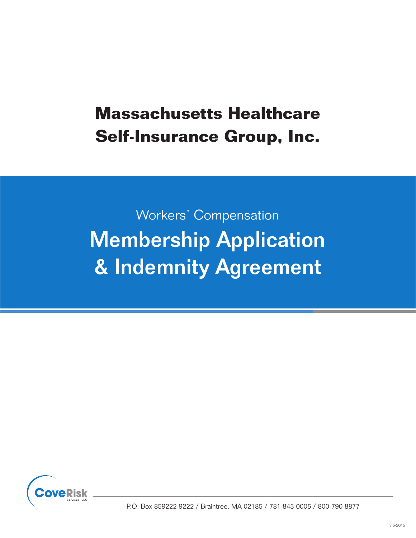# Workers' Compensation Membership Application & Indemnity Agreement

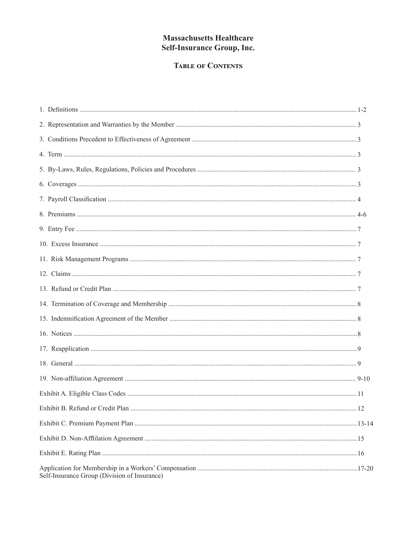# **TABLE OF CONTENTS**

|                                              | 12 |
|----------------------------------------------|----|
|                                              |    |
|                                              |    |
|                                              |    |
| Self-Insurance Group (Division of Insurance) |    |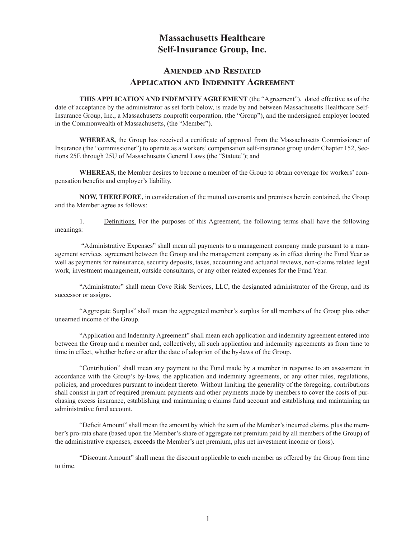#### **Amended and Restated Application and Indemnity Agreement**

**THIS APPLICATION AND INDEMNITY AGREEMENT** (the "Agreement"), dated effective as of the date of acceptance by the administrator as set forth below, is made by and between Massachusetts Healthcare Self-Insurance Group, Inc., a Massachusetts nonprofit corporation, (the "Group"), and the undersigned employer located in the Commonwealth of Massachusetts, (the "Member").

**WHEREAS,** the Group has received a certificate of approval from the Massachusetts Commissioner of Insurance (the "commissioner") to operate as a workers' compensation self-insurance group under Chapter 152, Sections 25E through 25U of Massachusetts General Laws (the "Statute"); and

**WHEREAS,** the Member desires to become a member of the Group to obtain coverage for workers' compensation benefits and employer's liability.

**NOW, THEREFORE,** in consideration of the mutual covenants and premises herein contained, the Group and the Member agree as follows:

1. Definitions. For the purposes of this Agreement, the following terms shall have the following meanings:

 "Administrative Expenses" shall mean all payments to a management company made pursuant to a management services agreement between the Group and the management company as in effect during the Fund Year as well as payments for reinsurance, security deposits, taxes, accounting and actuarial reviews, non-claims related legal work, investment management, outside consultants, or any other related expenses for the Fund Year.

"Administrator" shall mean Cove Risk Services, LLC, the designated administrator of the Group, and its successor or assigns.

"Aggregate Surplus" shall mean the aggregated member's surplus for all members of the Group plus other unearned income of the Group.

"Application and Indemnity Agreement" shall mean each application and indemnity agreement entered into between the Group and a member and, collectively, all such application and indemnity agreements as from time to time in effect, whether before or after the date of adoption of the by-laws of the Group.

"Contribution" shall mean any payment to the Fund made by a member in response to an assessment in accordance with the Group's by-laws, the application and indemnity agreements, or any other rules, regulations, policies, and procedures pursuant to incident thereto. Without limiting the generality of the foregoing, contributions shall consist in part of required premium payments and other payments made by members to cover the costs of purchasing excess insurance, establishing and maintaining a claims fund account and establishing and maintaining an administrative fund account.

"Deficit Amount" shall mean the amount by which the sum of the Member's incurred claims, plus the member's pro-rata share (based upon the Member's share of aggregate net premium paid by all members of the Group) of the administrative expenses, exceeds the Member's net premium, plus net investment income or (loss).

"Discount Amount" shall mean the discount applicable to each member as offered by the Group from time to time.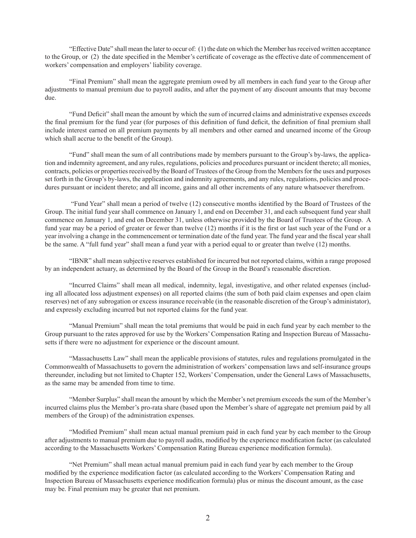"Effective Date" shall mean the later to occur of: (1) the date on which the Member has received written acceptance to the Group, or (2) the date specified in the Member's certificate of coverage as the effective date of commencement of workers' compensation and employers' liability coverage.

"Final Premium" shall mean the aggregate premium owed by all members in each fund year to the Group after adjustments to manual premium due to payroll audits, and after the payment of any discount amounts that may become due.

"Fund Deficit" shall mean the amount by which the sum of incurred claims and administrative expenses exceeds the final premium for the fund year (for purposes of this definition of fund deficit, the definition of final premium shall include interest earned on all premium payments by all members and other earned and unearned income of the Group which shall accrue to the benefit of the Group).

"Fund" shall mean the sum of all contributions made by members pursuant to the Group's by-laws, the application and indemnity agreement, and any rules, regulations, policies and procedures pursuant or incident thereto; all monies, contracts, policies or properties received by the Board of Trustees of the Group from the Members for the uses and purposes set forth in the Group's by-laws, the application and indemnity agreements, and any rules, regulations, policies and procedures pursuant or incident thereto; and all income, gains and all other increments of any nature whatsoever therefrom.

 "Fund Year" shall mean a period of twelve (12) consecutive months identified by the Board of Trustees of the Group. The initial fund year shall commence on January 1, and end on December 31, and each subsequent fund year shall commence on January 1, and end on December 31, unless otherwise provided by the Board of Trustees of the Group. A fund year may be a period of greater or fewer than twelve (12) months if it is the first or last such year of the Fund or a year involving a change in the commencement or termination date of the fund year. The fund year and the fiscal year shall be the same. A "full fund year" shall mean a fund year with a period equal to or greater than twelve (12) months.

"IBNR" shall mean subjective reserves established for incurred but not reported claims, within a range proposed by an independent actuary, as determined by the Board of the Group in the Board's reasonable discretion.

"Incurred Claims" shall mean all medical, indemnity, legal, investigative, and other related expenses (including all allocated loss adjustment expenses) on all reported claims (the sum of both paid claim expenses and open claim reserves) net of any subrogation or excess insurance receivable (in the reasonable discretion of the Group's administator), and expressly excluding incurred but not reported claims for the fund year.

"Manual Premium" shall mean the total premiums that would be paid in each fund year by each member to the Group pursuant to the rates approved for use by the Workers' Compensation Rating and Inspection Bureau of Massachusetts if there were no adjustment for experience or the discount amount.

"Massachusetts Law" shall mean the applicable provisions of statutes, rules and regulations promulgated in the Commonwealth of Massachusetts to govern the administration of workers' compensation laws and self-insurance groups thereunder, including but not limited to Chapter 152, Workers' Compensation, under the General Laws of Massachusetts, as the same may be amended from time to time.

"Member Surplus" shall mean the amount by which the Member's net premium exceeds the sum of the Member's incurred claims plus the Member's pro-rata share (based upon the Member's share of aggregate net premium paid by all members of the Group) of the administration expenses.

"Modified Premium" shall mean actual manual premium paid in each fund year by each member to the Group after adjustments to manual premium due to payroll audits, modified by the experience modification factor (as calculated according to the Massachusetts Workers' Compensation Rating Bureau experience modification formula).

"Net Premium" shall mean actual manual premium paid in each fund year by each member to the Group modified by the experience modification factor (as calculated according to the Workers' Compensation Rating and Inspection Bureau of Massachusetts experience modification formula) plus or minus the discount amount, as the case may be. Final premium may be greater that net premium.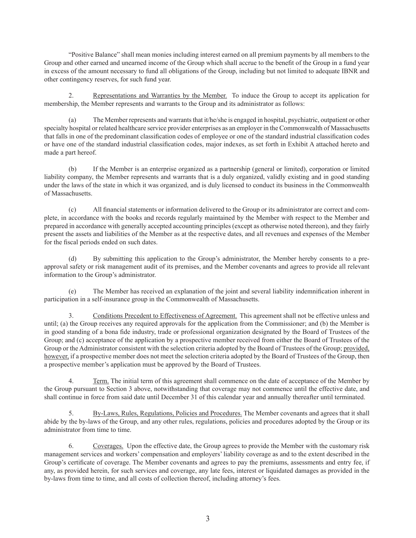"Positive Balance" shall mean monies including interest earned on all premium payments by all members to the Group and other earned and unearned income of the Group which shall accrue to the benefit of the Group in a fund year in excess of the amount necessary to fund all obligations of the Group, including but not limited to adequate IBNR and other contingency reserves, for such fund year.

2. Representations and Warranties by the Member. To induce the Group to accept its application for membership, the Member represents and warrants to the Group and its administrator as follows:

(a) The Member represents and warrants that it/he/she is engaged in hospital, psychiatric, outpatient or other specialty hospital or related healthcare service provider enterprises as an employer in the Commonwealth of Massachusetts that falls in one of the predominant classification codes of employee or one of the standard industrial classification codes or have one of the standard industrial classification codes, major indexes, as set forth in Exhibit A attached hereto and made a part hereof.

(b) If the Member is an enterprise organized as a partnership (general or limited), corporation or limited liability company, the Member represents and warrants that is a duly organized, validly existing and in good standing under the laws of the state in which it was organized, and is duly licensed to conduct its business in the Commonwealth of Massachusetts.

(c) All financial statements or information delivered to the Group or its administrator are correct and complete, in accordance with the books and records regularly maintained by the Member with respect to the Member and prepared in accordance with generally accepted accounting principles (except as otherwise noted thereon), and they fairly present the assets and liabilities of the Member as at the respective dates, and all revenues and expenses of the Member for the fiscal periods ended on such dates.

(d) By submitting this application to the Group's administrator, the Member hereby consents to a preapproval safety or risk management audit of its premises, and the Member covenants and agrees to provide all relevant information to the Group's administrator.

(e) The Member has received an explanation of the joint and several liability indemnification inherent in participation in a self-insurance group in the Commonwealth of Massachusetts.

3. Conditions Precedent to Effectiveness of Agreement. This agreement shall not be effective unless and until; (a) the Group receives any required approvals for the application from the Commissioner; and (b) the Member is in good standing of a bona fide industry, trade or professional organization designated by the Board of Trustees of the Group; and (c) acceptance of the application by a prospective member received from either the Board of Trustees of the Group or the Administrator consistent with the selection criteria adopted by the Board of Trustees of the Group; provided, however, if a prospective member does not meet the selection criteria adopted by the Board of Trustees of the Group, then a prospective member's application must be approved by the Board of Trustees.

4. Term. The initial term of this agreement shall commence on the date of acceptance of the Member by the Group pursuant to Section 3 above, notwithstanding that coverage may not commence until the effective date, and shall continue in force from said date until December 31 of this calendar year and annually thereafter until terminated.

5. By-Laws, Rules, Regulations, Policies and Procedures. The Member covenants and agrees that it shall abide by the by-laws of the Group, and any other rules, regulations, policies and procedures adopted by the Group or its administrator from time to time.

6. Coverages. Upon the effective date, the Group agrees to provide the Member with the customary risk management services and workers' compensation and employers' liability coverage as and to the extent described in the Group's certificate of coverage. The Member covenants and agrees to pay the premiums, assessments and entry fee, if any, as provided herein, for such services and coverage, any late fees, interest or liquidated damages as provided in the by-laws from time to time, and all costs of collection thereof, including attorney's fees.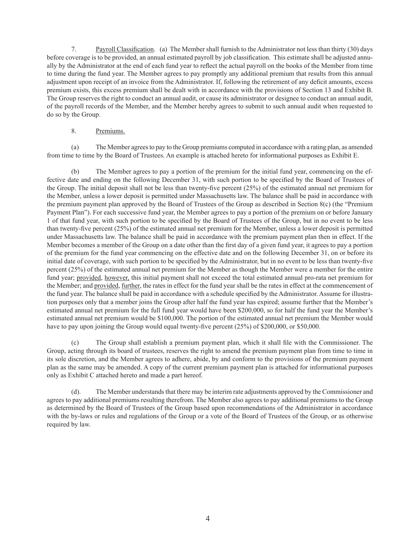7. Payroll Classification. (a) The Member shall furnish to the Administrator not less than thirty (30) days before coverage is to be provided, an annual estimated payroll by job classification. This estimate shall be adjusted annually by the Administrator at the end of each fund year to reflect the actual payroll on the books of the Member from time to time during the fund year. The Member agrees to pay promptly any additional premium that results from this annual adjustment upon receipt of an invoice from the Administrator. If, following the retirement of any deficit amounts, excess premium exists, this excess premium shall be dealt with in accordance with the provisions of Section 13 and Exhibit B. The Group reserves the right to conduct an annual audit, or cause its administrator or designee to conduct an annual audit, of the payroll records of the Member, and the Member hereby agrees to submit to such annual audit when requested to do so by the Group.

#### 8. Premiums.

(a) The Member agrees to pay to the Group premiums computed in accordance with a rating plan, as amended from time to time by the Board of Trustees. An example is attached hereto for informational purposes as Exhibit E.

(b) The Member agrees to pay a portion of the premium for the initial fund year, commencing on the effective date and ending on the following December 31, with such portion to be specified by the Board of Trustees of the Group. The initial deposit shall not be less than twenty-five percent (25%) of the estimated annual net premium for the Member, unless a lower deposit is permitted under Massachusetts law. The balance shall be paid in accordance with the premium payment plan approved by the Board of Trustees of the Group as described in Section 8(c) (the "Premium Payment Plan"). For each successive fund year, the Member agrees to pay a portion of the premium on or before January 1 of that fund year, with such portion to be specified by the Board of Trustees of the Group, but in no event to be less than twenty-five percent (25%) of the estimated annual net premium for the Member, unless a lower deposit is permitted under Massachusetts law. The balance shall be paid in accordance with the premium payment plan then in effect. If the Member becomes a member of the Group on a date other than the first day of a given fund year, it agrees to pay a portion of the premium for the fund year commencing on the effective date and on the following December 31, on or before its initial date of coverage, with such portion to be specified by the Administrator, but in no event to be less than twenty-five percent (25%) of the estimated annual net premium for the Member as though the Member were a member for the entire fund year; provided, however, this initial payment shall not exceed the total estimated annual pro-rata net premium for the Member; and provided, further, the rates in effect for the fund year shall be the rates in effect at the commencement of the fund year. The balance shall be paid in accordance with a schedule specified by the Administrator. Assume for illustration purposes only that a member joins the Group after half the fund year has expired; assume further that the Member's estimated annual net premium for the full fund year would have been \$200,000, so for half the fund year the Member's estimated annual net premium would be \$100,000. The portion of the estimated annual net premium the Member would have to pay upon joining the Group would equal twenty-five percent (25%) of \$200,000, or \$50,000.

(c) The Group shall establish a premium payment plan, which it shall file with the Commissioner. The Group, acting through its board of trustees, reserves the right to amend the premium payment plan from time to time in its sole discretion, and the Member agrees to adhere, abide, by and conform to the provisions of the premium payment plan as the same may be amended. A copy of the current premium payment plan is attached for informational purposes only as Exhibit C attached hereto and made a part hereof.

(d). The Member understands that there may be interim rate adjustments approved by the Commissioner and agrees to pay additional premiums resulting therefrom. The Member also agrees to pay additional premiums to the Group as determined by the Board of Trustees of the Group based upon recommendations of the Administrator in accordance with the by-laws or rules and regulations of the Group or a vote of the Board of Trustees of the Group, or as otherwise required by law.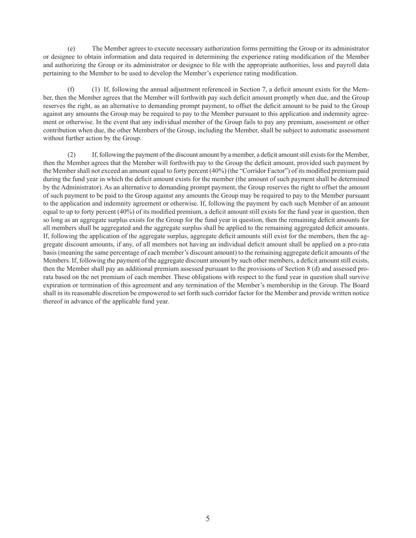(e) The Member agrees to execute necessary authorization forms permitting the Group or its administrator or designee to obtain information and data required in determining the experience rating modification of the Member and authorizing the Group or its administrator or designee to file with the appropriate authorities, loss and payroll data pertaining to the Member to be used to develop the Member's experience rating modification.

(f) (1) If, following the annual adjustment referenced in Section 7, a deficit amount exists for the Member, then the Member agrees that the Member will forthwith pay such deficit amount promptly when due, and the Group reserves the right, as an alternative to demanding prompt payment, to offset the deficit amount to be paid to the Group against any amounts the Group may be required to pay to the Member pursuant to this application and indemnity agreement or otherwise. In the event that any individual member of the Group fails to pay any premium, assessment or other contribution when due, the other Members of the Group, including the Member, shall be subject to automatic assessment without further action by the Group.

(2) If, following the payment of the discount amount by a member, a deficit amount still exists for the Member, then the Member agrees that the Member will forthwith pay to the Group the deficit amount, provided such payment by the Member shall not exceed an amount equal to forty percent (40%) (the "Corridor Factor") of its modified premium paid during the fund year in which the deficit amount exists for the member (the amount of such payment shall be determined by the Administrator). As an alternative to demanding prompt payment, the Group reserves the right to offset the amount of such payment to be paid to the Group against any amounts the Group may be required to pay to the Member pursuant to the application and indemnity agreement or otherwise. If, following the payment by each such Member of an amount equal to up to forty percent (40%) of its modified premium, a deficit amount still exists for the fund year in question, then so long as an aggregate surplus exists for the Group for the fund year in question, then the remaining deficit amounts for all members shall be aggregated and the aggregate surplus shall be applied to the remaining aggregated deficit amounts. If, following the application of the aggregate surplus, aggregate deficit amounts still exist for the members, then the aggregate discount amounts, if any, of all members not having an individual deficit amount shall be applied on a pro-rata basis (meaning the same percentage of each member's discount amount) to the remaining aggregate deficit amounts of the Members. If, following the payment of the aggregate discount amount by such other members, a deficit amount still exists, then the Member shall pay an additional premium assessed pursuant to the provisions of Section 8 (d) and assessed prorata based on the net premium of each member. These obligations with respect to the fund year in question shall survive expiration or termination of this agreement and any termination of the Member's membership in the Group. The Board shall in its reasonable discretion be empowered to set forth such corridor factor for the Member and provide written notice thereof in advance of the applicable fund year.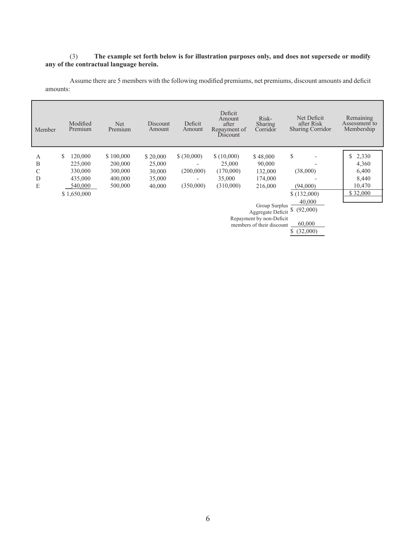#### (3) **The example set forth below is for illustration purposes only, and does not supersede or modify any of the contractual language herein.**

Assume there are 5 members with the following modified premiums, net premiums, discount amounts and deficit amounts:

| Member | Modified<br>Premium                 | <b>Net</b><br>Premium | Discount<br>Amount | Deficit<br>Amount | Deficit<br>Amount<br>after<br>Repayment of<br>Discount | Risk-<br>Sharing<br>Corridor             | Net Deficit<br>after Risk<br><b>Sharing Corridor</b> | Remaining<br>Assessment to<br>Membership |
|--------|-------------------------------------|-----------------------|--------------------|-------------------|--------------------------------------------------------|------------------------------------------|------------------------------------------------------|------------------------------------------|
|        |                                     |                       |                    |                   |                                                        |                                          |                                                      |                                          |
| А      | 120,000<br>S                        | \$100,000             | \$20,000           | \$ (30,000)       | \$(10,000)                                             | \$48,000                                 | \$                                                   | 2,330                                    |
| B      | 225,000                             | 200,000               | 25,000             |                   | 25,000                                                 | 90,000                                   |                                                      | 4,360                                    |
| C      | 330,000                             | 300,000               | 30,000             | (200,000)         | (170,000)                                              | 132,000                                  | (38,000)                                             | 6,400                                    |
| D      | 435,000                             | 400,000               | 35,000             |                   | 35,000                                                 | 174,000                                  |                                                      | 8,440                                    |
| E      | 540,000                             | 500,000               | 40,000             | (350,000)         | (310,000)                                              | 216,000                                  | (94,000)                                             | 10,470                                   |
|        | \$1,650,000                         |                       |                    |                   |                                                        |                                          | \$(132,000)                                          | \$32,000                                 |
|        |                                     |                       |                    |                   |                                                        |                                          | 40,000                                               |                                          |
|        |                                     |                       |                    |                   |                                                        | Group Surplus $\frac{$6,000}{$(92,000)}$ |                                                      |                                          |
|        |                                     |                       |                    |                   |                                                        |                                          |                                                      |                                          |
|        | Repayment by non-Deficit            |                       |                    |                   |                                                        |                                          |                                                      |                                          |
|        | 60,000<br>members of their discount |                       |                    |                   |                                                        |                                          |                                                      |                                          |
|        |                                     |                       |                    |                   |                                                        |                                          | \$ (32,000)                                          |                                          |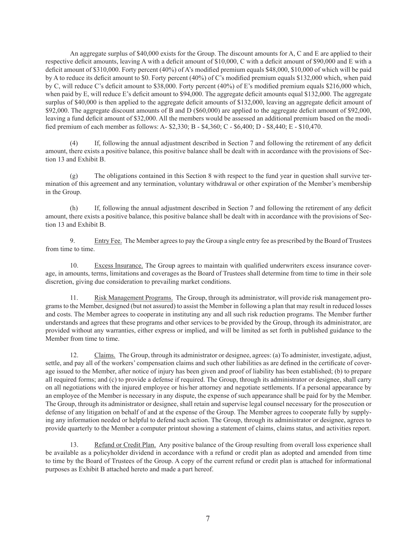An aggregate surplus of \$40,000 exists for the Group. The discount amounts for A, C and E are applied to their respective deficit amounts, leaving A with a deficit amount of \$10,000, C with a deficit amount of \$90,000 and E with a deficit amount of \$310,000. Forty percent (40%) of A's modified premium equals \$48,000, \$10,000 of which will be paid by A to reduce its deficit amount to \$0. Forty percent (40%) of C's modified premium equals \$132,000 which, when paid by C, will reduce C's deficit amount to \$38,000. Forty percent (40%) of E's modified premium equals \$216,000 which, when paid by E, will reduce E's deficit amount to \$94,000. The aggregate deficit amounts equal \$132,000. The aggregate surplus of \$40,000 is then applied to the aggregate deficit amounts of \$132,000, leaving an aggregate deficit amount of \$92,000. The aggregate discount amounts of B and D (\$60,000) are applied to the aggregate deficit amount of \$92,000, leaving a fund deficit amount of \$32,000. All the members would be assessed an additional premium based on the modified premium of each member as follows: A- \$2,330; B - \$4,360; C - \$6,400; D - \$8,440; E - \$10,470.

(4) If, following the annual adjustment described in Section 7 and following the retirement of any deficit amount, there exists a positive balance, this positive balance shall be dealt with in accordance with the provisions of Section 13 and Exhibit B.

(g) The obligations contained in this Section 8 with respect to the fund year in question shall survive termination of this agreement and any termination, voluntary withdrawal or other expiration of the Member's membership in the Group.

(h) If, following the annual adjustment described in Section 7 and following the retirement of any deficit amount, there exists a positive balance, this positive balance shall be dealt with in accordance with the provisions of Section 13 and Exhibit B.

9. Entry Fee. The Member agrees to pay the Group a single entry fee as prescribed by the Board of Trustees from time to time.

10. Excess Insurance. The Group agrees to maintain with qualified underwriters excess insurance coverage, in amounts, terms, limitations and coverages as the Board of Trustees shall determine from time to time in their sole discretion, giving due consideration to prevailing market conditions.

11. Risk Management Programs. The Group, through its administrator, will provide risk management programs to the Member, designed (but not assured) to assist the Member in following a plan that may result in reduced losses and costs. The Member agrees to cooperate in instituting any and all such risk reduction programs. The Member further understands and agrees that these programs and other services to be provided by the Group, through its administrator, are provided without any warranties, either express or implied, and will be limited as set forth in published guidance to the Member from time to time.

12. Claims. The Group, through its administrator or designee, agrees: (a) To administer, investigate, adjust, settle, and pay all of the workers' compensation claims and such other liabilities as are defined in the certificate of coverage issued to the Member, after notice of injury has been given and proof of liability has been established; (b) to prepare all required forms; and (c) to provide a defense if required. The Group, through its administrator or designee, shall carry on all negotiations with the injured employee or his/her attorney and negotiate settlements. If a personal appearance by an employee of the Member is necessary in any dispute, the expense of such appearance shall be paid for by the Member. The Group, through its administrator or designee, shall retain and supervise legal counsel necessary for the prosecution or defense of any litigation on behalf of and at the expense of the Group. The Member agrees to cooperate fully by supplying any information needed or helpful to defend such action. The Group, through its administrator or designee, agrees to provide quarterly to the Member a computer printout showing a statement of claims, claims status, and activities report.

13. Refund or Credit Plan. Any positive balance of the Group resulting from overall loss experience shall be available as a policyholder dividend in accordance with a refund or credit plan as adopted and amended from time to time by the Board of Trustees of the Group. A copy of the current refund or credit plan is attached for informational purposes as Exhibit B attached hereto and made a part hereof.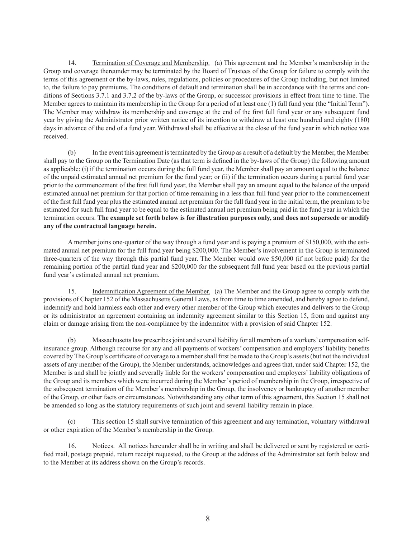14. Termination of Coverage and Membership. (a) This agreement and the Member's membership in the Group and coverage thereunder may be terminated by the Board of Trustees of the Group for failure to comply with the terms of this agreement or the by-laws, rules, regulations, policies or procedures of the Group including, but not limited to, the failure to pay premiums. The conditions of default and termination shall be in accordance with the terms and conditions of Sections 3.7.1 and 3.7.2 of the by-laws of the Group, or successor provisions in effect from time to time. The Member agrees to maintain its membership in the Group for a period of at least one (1) full fund year (the "Initial Term"). The Member may withdraw its membership and coverage at the end of the first full fund year or any subsequent fund year by giving the Administrator prior written notice of its intention to withdraw at least one hundred and eighty (180) days in advance of the end of a fund year. Withdrawal shall be effective at the close of the fund year in which notice was received.

(b) In the event this agreement is terminated by the Group as a result of a default by the Member, the Member shall pay to the Group on the Termination Date (as that term is defined in the by-laws of the Group) the following amount as applicable: (i) if the termination occurs during the full fund year, the Member shall pay an amount equal to the balance of the unpaid estimated annual net premium for the fund year; or (ii) if the termination occurs during a partial fund year prior to the commencement of the first full fund year, the Member shall pay an amount equal to the balance of the unpaid estimated annual net premium for that portion of time remaining in a less than full fund year prior to the commencement of the first full fund year plus the estimated annual net premium for the full fund year in the initial term, the premium to be estimated for such full fund year to be equal to the estimated annual net premium being paid in the fund year in which the termination occurs. **The example set forth below is for illustration purposes only, and does not supersede or modify any of the contractual language herein.**

A member joins one-quarter of the way through a fund year and is paying a premium of \$150,000, with the estimated annual net premium for the full fund year being \$200,000. The Member's involvement in the Group is terminated three-quarters of the way through this partial fund year. The Member would owe \$50,000 (if not before paid) for the remaining portion of the partial fund year and \$200,000 for the subsequent full fund year based on the previous partial fund year's estimated annual net premium.

15. Indemnification Agreement of the Member. (a) The Member and the Group agree to comply with the provisions of Chapter 152 of the Massachusetts General Laws, as from time to time amended, and hereby agree to defend, indemnify and hold harmless each other and every other member of the Group which executes and delivers to the Group or its administrator an agreement containing an indemnity agreement similar to this Section 15, from and against any claim or damage arising from the non-compliance by the indemnitor with a provision of said Chapter 152.

(b) Massachusetts law prescribes joint and several liability for all members of a workers' compensation selfinsurance group. Although recourse for any and all payments of workers' compensation and employers' liability benefits covered by The Group's certificate of coverage to a member shall first be made to the Group's assets (but not the individual assets of any member of the Group), the Member understands, acknowledges and agrees that, under said Chapter 152, the Member is and shall be jointly and severally liable for the workers' compensation and employers' liability obligations of the Group and its members which were incurred during the Member's period of membership in the Group, irrespective of the subsequent termination of the Member's membership in the Group, the insolvency or bankruptcy of another member of the Group, or other facts or circumstances. Notwithstanding any other term of this agreement, this Section 15 shall not be amended so long as the statutory requirements of such joint and several liability remain in place.

(c) This section 15 shall survive termination of this agreement and any termination, voluntary withdrawal or other expiration of the Member's membership in the Group.

16. Notices. All notices hereunder shall be in writing and shall be delivered or sent by registered or certified mail, postage prepaid, return receipt requested, to the Group at the address of the Administrator set forth below and to the Member at its address shown on the Group's records.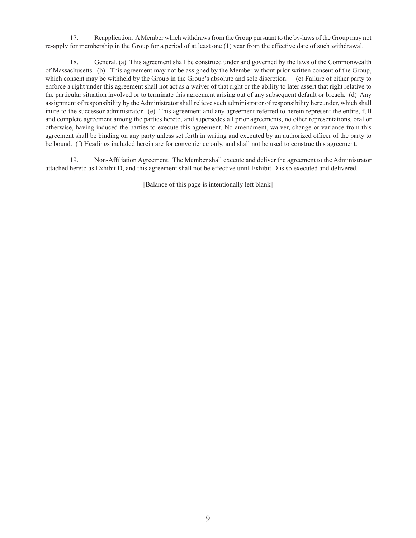17. Reapplication. A Member which withdraws from the Group pursuant to the by-laws of the Group may not re-apply for membership in the Group for a period of at least one (1) year from the effective date of such withdrawal.

18. General. (a) This agreement shall be construed under and governed by the laws of the Commonwealth of Massachusetts. (b) This agreement may not be assigned by the Member without prior written consent of the Group, which consent may be withheld by the Group in the Group's absolute and sole discretion. (c) Failure of either party to enforce a right under this agreement shall not act as a waiver of that right or the ability to later assert that right relative to the particular situation involved or to terminate this agreement arising out of any subsequent default or breach. (d) Any assignment of responsibility by the Administrator shall relieve such administrator of responsibility hereunder, which shall inure to the successor administrator. (e) This agreement and any agreement referred to herein represent the entire, full and complete agreement among the parties hereto, and supersedes all prior agreements, no other representations, oral or otherwise, having induced the parties to execute this agreement. No amendment, waiver, change or variance from this agreement shall be binding on any party unless set forth in writing and executed by an authorized officer of the party to be bound. (f) Headings included herein are for convenience only, and shall not be used to construe this agreement.

19. Non-Affiliation Agreement. The Member shall execute and deliver the agreement to the Administrator attached hereto as Exhibit D, and this agreement shall not be effective until Exhibit D is so executed and delivered.

[Balance of this page is intentionally left blank]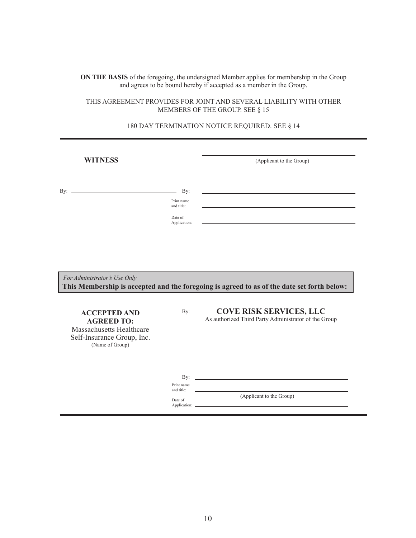#### **ON THE BASIS** of the foregoing, the undersigned Member applies for membership in the Group and agrees to be bound hereby if accepted as a member in the Group.

#### THIS AGREEMENT PROVIDES FOR JOINT AND SEVERAL LIABILITY WITH OTHER MEMBERS OF THE GROUP. SEE § 15

# **WITNESS** (Applicant to the Group) By: By: **ACCEPTED AND** By: By: (Applicant to the Group) Print name and title:  *For Administrator's Use Only*  **This Membership is accepted and the foregoing is agreed to as of the date set forth below:** Date of Application: **AGREED TO:** Massachusetts Healthcare Self-Insurance Group, Inc. (Name of Group) **COVE RISK SERVICES, LLC** As authorized Third Party Administrator of the Group Print name and title: Date of Application:

#### 180 DAY TERMINATION NOTICE REQUIRED. SEE § 14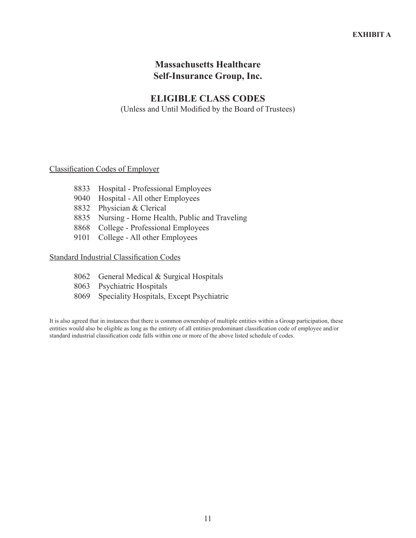#### **ELIGIBLE CLASS CODES**

(Unless and Until Modified by the Board of Trustees)

#### Classification Codes of Employer

- 8833 Hospital Professional Employees
- 9040 Hospital All other Employees
- 8832 Physician & Clerical
- 8835 Nursing Home Health, Public and Traveling
- 8868 College Professional Employees
- 9101 College All other Employees

#### Standard Industrial Classification Codes

- 8062 General Medical & Surgical Hospitals
- 8063 Psychiatric Hospitals
- 8069 Speciality Hospitals, Except Psychiatric

It is also agreed that in instances that there is common ownership of multiple entities within a Group participation, these entities would also be eligible as long as the entirety of all entities predominant classification code of employee and/or standard industrial classification code falls within one or more of the above listed schedule of codes.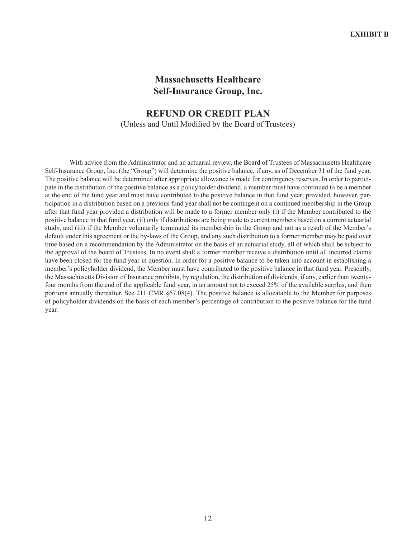#### **REFUND OR CREDIT PLAN** (Unless and Until Modified by the Board of Trustees)

With advice from the Administrator and an actuarial review, the Board of Trustees of Massachusetts Healthcare Self-Insurance Group, Inc. (the "Group") will determine the positive balance, if any, as of December 31 of the fund year. The positive balance will be determined after appropriate allowance is made for contingency reserves. In order to participate in the distribution of the positive balance as a policyholder dividend, a member must have continued to be a member at the end of the fund year and must have contributed to the positive balance in that fund year; provided, however, participation in a distribution based on a previous fund year shall not be contingent on a continued membership in the Group after that fund year provided a distribution will be made to a former member only (i) if the Member contributed to the positive balance in that fund year, (ii) only if distributions are being made to current members based on a current actuarial study, and (iii) if the Member voluntarily terminated its membership in the Group and not as a result of the Member's default under this agreement or the by-laws of the Group, and any such distribution to a former member may be paid over time based on a recommendation by the Administrator on the basis of an actuarial study, all of which shall be subject to the approval of the board of Trustees. In no event shall a former member receive a distribution until all incurred claims have been closed for the fund year in question. In order for a positive balance to be taken into account in establishing a member's policyholder dividend, the Member must have contributed to the positive balance in that fund year. Presently, the Massachusetts Division of Insurance prohibits, by regulation, the distribution of dividends, if any, earlier than twentyfour months from the end of the applicable fund year, in an amount not to exceed 25% of the available surplus, and then portions annually thereafter. See 211 CMR §67.08(4). The positive balance is allocatable to the Member for purposes of policyholder dividends on the basis of each member's percentage of contribution to the positive balance for the fund year.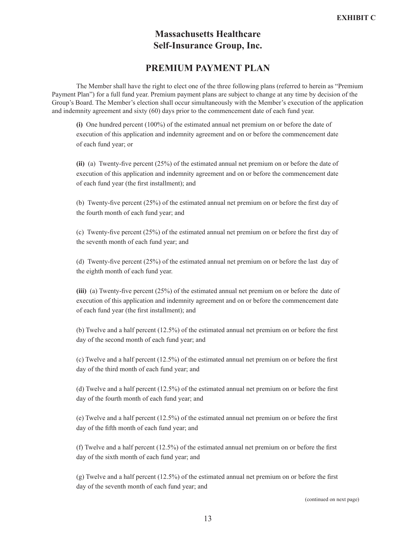#### **PREMIUM PAYMENT PLAN**

The Member shall have the right to elect one of the three following plans (referred to herein as "Premium Payment Plan") for a full fund year. Premium payment plans are subject to change at any time by decision of the Group's Board. The Member's election shall occur simultaneously with the Member's execution of the application and indemnity agreement and sixty (60) days prior to the commencement date of each fund year.

**(i)** One hundred percent (100%) of the estimated annual net premium on or before the date of execution of this application and indemnity agreement and on or before the commencement date of each fund year; or

**(ii)** (a) Twenty-five percent (25%) of the estimated annual net premium on or before the date of execution of this application and indemnity agreement and on or before the commencement date of each fund year (the first installment); and

(b) Twenty-five percent (25%) of the estimated annual net premium on or before the first day of the fourth month of each fund year; and

(c) Twenty-five percent (25%) of the estimated annual net premium on or before the first day of the seventh month of each fund year; and

(d) Twenty-five percent (25%) of the estimated annual net premium on or before the last day of the eighth month of each fund year.

**(iii)** (a) Twenty-five percent (25%) of the estimated annual net premium on or before the date of execution of this application and indemnity agreement and on or before the commencement date of each fund year (the first installment); and

(b) Twelve and a half percent (12.5%) of the estimated annual net premium on or before the first day of the second month of each fund year; and

(c) Twelve and a half percent (12.5%) of the estimated annual net premium on or before the first day of the third month of each fund year; and

(d) Twelve and a half percent (12.5%) of the estimated annual net premium on or before the first day of the fourth month of each fund year; and

(e) Twelve and a half percent (12.5%) of the estimated annual net premium on or before the first day of the fifth month of each fund year; and

(f) Twelve and a half percent (12.5%) of the estimated annual net premium on or before the first day of the sixth month of each fund year; and

(g) Twelve and a half percent (12.5%) of the estimated annual net premium on or before the first day of the seventh month of each fund year; and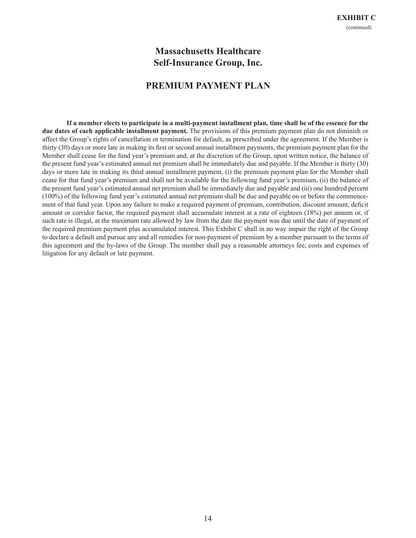#### **PREMIUM PAYMENT PLAN**

**If a member elects to participate in a multi-payment installment plan, time shall be of the essence for the due dates of each applicable installment payment.** The provisions of this premium payment plan do not diminish or affect the Group's rights of cancellation or termination for default, as prescribed under the agreement. If the Member is thirty (30) days or more late in making its first or second annual installment payments, the premium payment plan for the Member shall cease for the fund year's premium and, at the discretion of the Group, upon written notice, the balance of the present fund year's estimated annual net premium shall be immediately due and payable. If the Member is thirty (30) days or more late in making its third annual installment payment, (i) the premium payment plan for the Member shall cease for that fund year's premium and shall not be available for the following fund year's premium, (ii) the balance of the present fund year's estimated annual net premium shall be immediately due and payable and (iii) one hundred percent (100%) of the following fund year's estimated annual net premium shall be due and payable on or before the commencement of that fund year. Upon any failure to make a required payment of premium, contribution, discount amount, deficit amount or corridor factor, the required payment shall accumulate interest at a rate of eighteen (18%) per annum or, if such rate is illegal, at the maximum rate allowed by law from the date the payment was due until the date of payment of the required premium payment plus accumulated interest. This Exhibit C shall in no way impair the right of the Group to declare a default and pursue any and all remedies for non-payment of premium by a member pursuant to the terms of this agreement and the by-laws of the Group. The member shall pay a reasonable attorneys fee, costs and expenses of litigation for any default or late payment.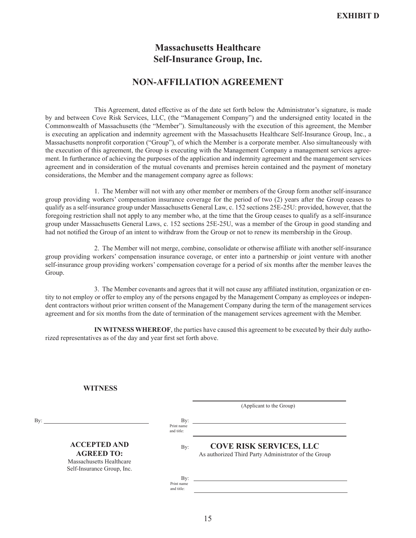#### **NON-AFFILIATION AGREEMENT**

This Agreement, dated effective as of the date set forth below the Administrator's signature, is made by and between Cove Risk Services, LLC, (the "Management Company") and the undersigned entity located in the Commonwealth of Massachusetts (the "Member"). Simultaneously with the execution of this agreement, the Member is executing an application and indemnity agreement with the Massachusetts Healthcare Self-Insurance Group, Inc., a Massachusetts nonprofit corporation ("Group"), of which the Member is a corporate member. Also simultaneously with the execution of this agreement, the Group is executing with the Management Company a management services agreement. In furtherance of achieving the purposes of the application and indemnity agreement and the management services agreement and in consideration of the mutual covenants and premises herein contained and the payment of monetary considerations, the Member and the management company agree as follows:

1. The Member will not with any other member or members of the Group form another self-insurance group providing workers' compensation insurance coverage for the period of two (2) years after the Group ceases to qualify as a self-insurance group under Massachusetts General Law, c. 152 sections 25E-25U: provided, however, that the foregoing restriction shall not apply to any member who, at the time that the Group ceases to qualify as a self-insurance group under Massachusetts General Laws, c. 152 sections 25E-25U, was a member of the Group in good standing and had not notified the Group of an intent to withdraw from the Group or not to renew its membership in the Group.

2. The Member will not merge, combine, consolidate or otherwise affiliate with another self-insurance group providing workers' compensation insurance coverage, or enter into a partnership or joint venture with another self-insurance group providing workers' compensation coverage for a period of six months after the member leaves the Group.

3. The Member covenants and agrees that it will not cause any affiliated institution, organization or entity to not employ or offer to employ any of the persons engaged by the Management Company as employees or independent contractors without prior written consent of the Management Company during the term of the management services agreement and for six months from the date of termination of the management services agreement with the Member.

 **IN WITNESS WHEREOF**, the parties have caused this agreement to be executed by their duly authorized representatives as of the day and year first set forth above.

#### **WITNESS**

|     |                                                                                                    |                                    | (Applicant to the Group)                                                               |
|-----|----------------------------------------------------------------------------------------------------|------------------------------------|----------------------------------------------------------------------------------------|
| Bv: |                                                                                                    | $\operatorname{Bv}:$<br>Print name |                                                                                        |
|     |                                                                                                    | and title:                         |                                                                                        |
|     | <b>ACCEPTED AND</b><br><b>AGREED TO:</b><br>Massachusetts Healthcare<br>Self-Insurance Group, Inc. | By:                                | <b>COVE RISK SERVICES, LLC</b><br>As authorized Third Party Administrator of the Group |
|     |                                                                                                    | By:<br>Print name<br>and title:    |                                                                                        |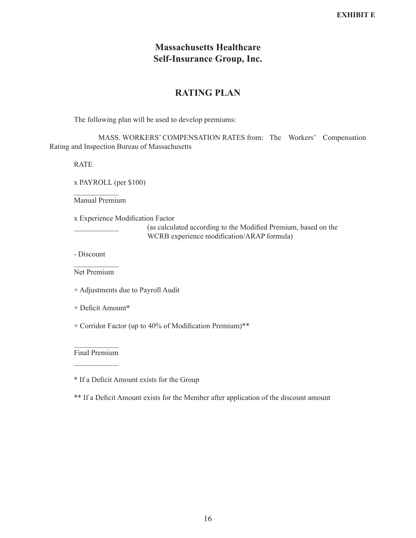# **RATING PLAN**

The following plan will be used to develop premiums:

MASS. WORKERS' COMPENSATION RATES from: The Workers' Compensation Rating and Inspection Bureau of Massachusetts

RATE

x PAYROLL (per \$100)

 $\frac{1}{2}$ Manual Premium

x Experience Modification Factor

\_\_\_\_\_\_\_\_\_\_\_\_ (as calculated according to the Modified Premium, based on the WCRB experience modification/ARAP formula)

- Discount

 $\frac{1}{2}$ Net Premium

+ Adjustments due to Payroll Audit

+ Deficit Amount\*

+ Corridor Factor (up to 40% of Modification Premium)\*\*

 $\frac{1}{2}$ Final Premium  $\frac{1}{2}$ 

\* If a Deficit Amount exists for the Group

\*\* If a Deficit Amount exists for the Member after application of the discount amount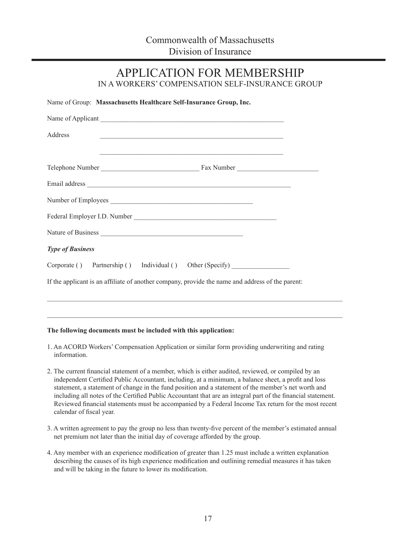APPLICATION FOR MEMBERSHIP

|                         | Name of Group: Massachusetts Healthcare Self-Insurance Group, Inc.                               |  |  |
|-------------------------|--------------------------------------------------------------------------------------------------|--|--|
|                         |                                                                                                  |  |  |
| Address                 |                                                                                                  |  |  |
|                         |                                                                                                  |  |  |
|                         |                                                                                                  |  |  |
|                         | Number of Employees                                                                              |  |  |
|                         |                                                                                                  |  |  |
|                         |                                                                                                  |  |  |
| <b>Type of Business</b> |                                                                                                  |  |  |
|                         | Corporate () Partnership () Individual () Other (Specify) ______________________                 |  |  |
|                         | If the applicant is an affiliate of another company, provide the name and address of the parent: |  |  |

#### **The following documents must be included with this application:**

1. An ACORD Workers' Compensation Application or similar form providing underwriting and rating information.

 $\_$  , and the set of the set of the set of the set of the set of the set of the set of the set of the set of the set of the set of the set of the set of the set of the set of the set of the set of the set of the set of th

- 2. The current financial statement of a member, which is either audited, reviewed, or compiled by an independent Certified Public Accountant, including, at a minimum, a balance sheet, a profit and loss statement, a statement of change in the fund position and a statement of the member's net worth and including all notes of the Certified Public Accountant that are an integral part of the financial statement. Reviewed financial statements must be accompanied by a Federal Income Tax return for the most recent calendar of fiscal year.
- 3. A written agreement to pay the group no less than twenty-five percent of the member's estimated annual net premium not later than the initial day of coverage afforded by the group.
- 4. Any member with an experience modification of greater than 1.25 must include a written explanation describing the causes of its high experience modification and outlining remedial measures it has taken and will be taking in the future to lower its modification.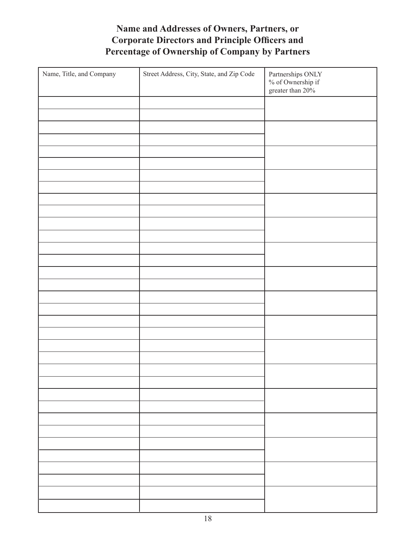# **Name and Addresses of Owners, Partners, or Corporate Directors and Principle Officers and Percentage of Ownership of Company by Partners**

| Name, Title, and Company | Street Address, City, State, and Zip Code | Partnerships ONLY<br>$\%$ of Ownership if<br>greater than $20\%$ |
|--------------------------|-------------------------------------------|------------------------------------------------------------------|
|                          |                                           |                                                                  |
|                          |                                           |                                                                  |
|                          |                                           |                                                                  |
|                          |                                           |                                                                  |
|                          |                                           |                                                                  |
|                          |                                           |                                                                  |
|                          |                                           |                                                                  |
|                          |                                           |                                                                  |
|                          |                                           |                                                                  |
|                          |                                           |                                                                  |
|                          |                                           |                                                                  |
|                          |                                           |                                                                  |
|                          |                                           |                                                                  |
|                          |                                           |                                                                  |
|                          |                                           |                                                                  |
|                          |                                           |                                                                  |
|                          |                                           |                                                                  |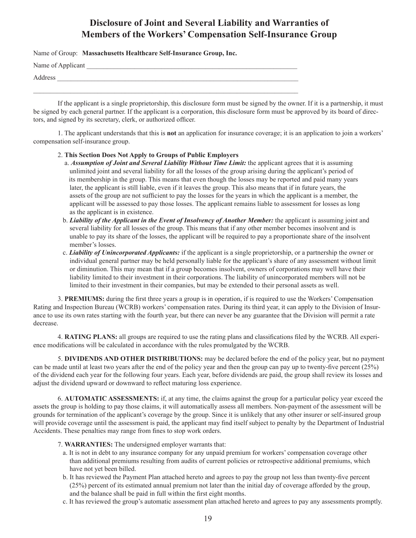# **Disclosure of Joint and Several Liability and Warranties of Members of the Workers' Compensation Self-Insurance Group**

Name of Group: **Massachusetts Healthcare Self-Insurance Group, Inc.**

Name of Applicant

Address \_\_\_\_\_\_\_\_\_\_\_\_\_\_\_\_\_\_\_\_\_\_\_\_\_\_\_\_\_\_\_\_\_\_\_\_\_\_\_\_\_\_\_\_\_\_\_\_\_\_\_\_\_\_\_\_\_\_\_\_\_\_\_\_\_\_\_\_\_\_\_

If the applicant is a single proprietorship, this disclosure form must be signed by the owner. If it is a partnership, it must be signed by each general partner. If the applicant is a corporation, this disclosure form must be approved by its board of directors, and signed by its secretary, clerk, or authorized officer.

1. The applicant understands that this is **not** an application for insurance coverage; it is an application to join a workers' compensation self-insurance group.

2. **This Section Does Not Apply to Groups of Public Employers**

 $\_$  , and the set of the set of the set of the set of the set of the set of the set of the set of the set of the set of the set of the set of the set of the set of the set of the set of the set of the set of the set of th

- a. *Assumption of Joint and Several Liability Without Time Limit:* the applicant agrees that it is assuming unlimited joint and several liability for all the losses of the group arising during the applicant's period of its membership in the group. This means that even though the losses may be reported and paid many years later, the applicant is still liable, even if it leaves the group. This also means that if in future years, the assets of the group are not sufficient to pay the losses for the years in which the applicant is a member, the applicant will be assessed to pay those losses. The applicant remains liable to assessment for losses as long as the applicant is in existence.
- b. *Liability of the Applicant in the Event of Insolvency of Another Member:* the applicant is assuming joint and several liability for all losses of the group. This means that if any other member becomes insolvent and is unable to pay its share of the losses, the applicant will be required to pay a proportionate share of the insolvent member's losses.
- c. *Liability of Unincorporated Applicants:* if the applicant is a single proprietorship, or a partnership the owner or individual general partner may be held personally liable for the applicant's share of any assessment without limit or diminution. This may mean that if a group becomes insolvent, owners of corporations may well have their liability limited to their investment in their corporations. The liability of unincorporated members will not be limited to their investment in their companies, but may be extended to their personal assets as well.

3. **PREMIUMS:** during the first three years a group is in operation, if is required to use the Workers' Compensation Rating and Inspection Bureau (WCRB) workers' compensation rates. During its third year, it can apply to the Division of Insurance to use its own rates starting with the fourth year, but there can never be any guarantee that the Division will permit a rate decrease.

4. **RATING PLANS:** all groups are required to use the rating plans and classifications filed by the WCRB. All experience modifications will be calculated in accordance with the rules promulgated by the WCRB.

5. **DIVIDENDS AND OTHER DISTRIBUTIONS:** may be declared before the end of the policy year, but no payment can be made until at least two years after the end of the policy year and then the group can pay up to twenty-five percent (25%) of the dividend each year for the following four years. Each year, before dividends are paid, the group shall review its losses and adjust the dividend upward or downward to reflect maturing loss experience.

6. **AUTOMATIC ASSESSMENTS:** if, at any time, the claims against the group for a particular policy year exceed the assets the group is holding to pay those claims, it will automatically assess all members. Non-payment of the assessment will be grounds for termination of the applicant's coverage by the group. Since it is unlikely that any other insurer or self-insured group will provide coverage until the assessment is paid, the applicant may find itself subject to penalty by the Department of Industrial Accidents. These penalties may range from fines to stop work orders.

- 7. **WARRANTIES:** The undersigned employer warrants that:
	- a. It is not in debt to any insurance company for any unpaid premium for workers' compensation coverage other than additional premiums resulting from audits of current policies or retrospective additional premiums, which have not yet been billed.
	- b. It has reviewed the Payment Plan attached hereto and agrees to pay the group not less than twenty-five percent (25%) percent of its estimated annual premium not later than the initial day of coverage afforded by the group, and the balance shall be paid in full within the first eight months.
	- c. It has reviewed the group's automatic assessment plan attached hereto and agrees to pay any assessments promptly.